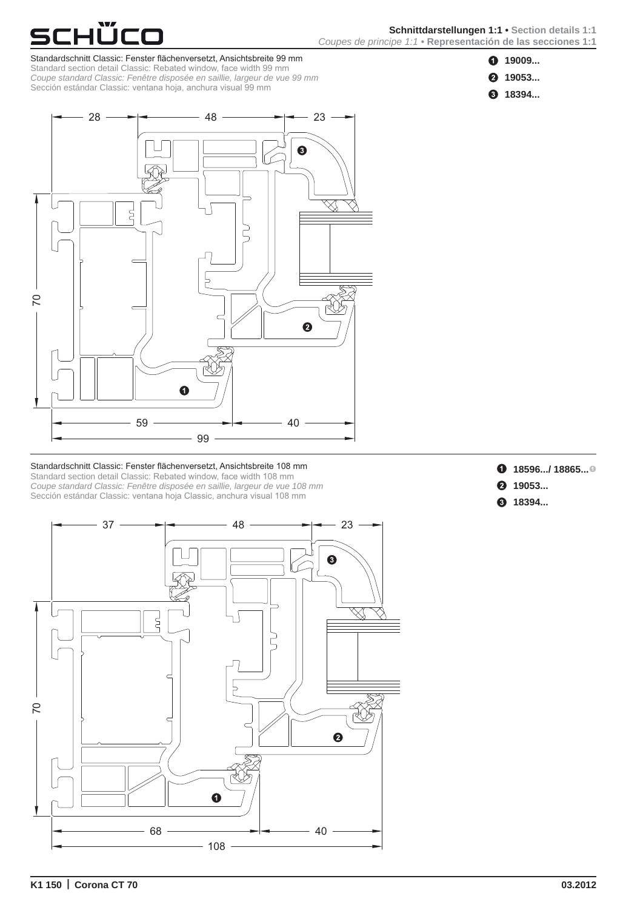

ιῢco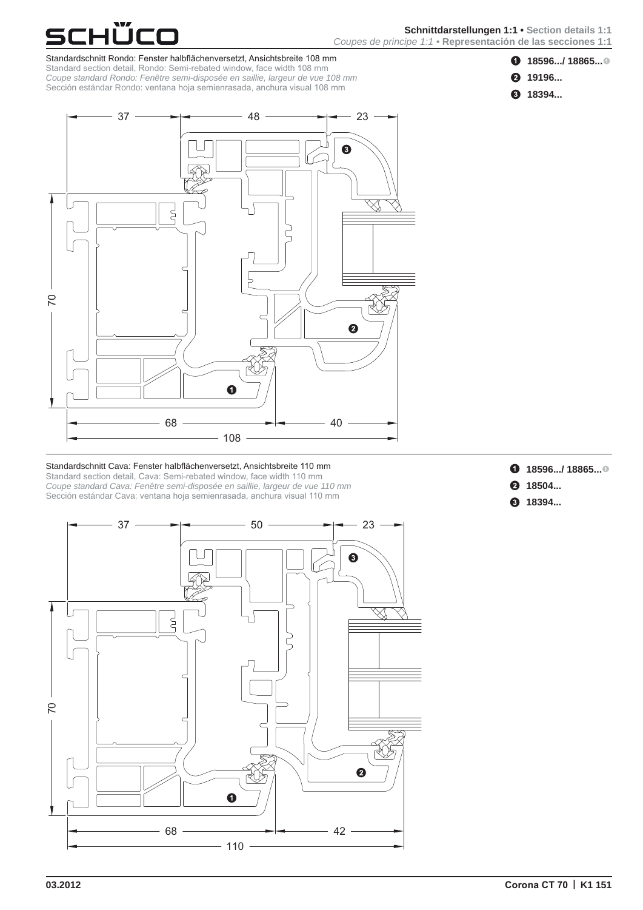



Standardschnitt Rondo: Fenster halbflächenversetzt, Ansichtsbreite 108 mm Standard section detail, Rondo: Semi-rebated window, face width 108 mm *Coupe standard Rondo: Fenêtre semi-disposée en saillie, largeur de vue 108 mm* Sección estándar Rondo: ventana hoja semienrasada, anchura visual 108 mm



### Standardschnitt Cava: Fenster halbflächenversetzt, Ansichtsbreite 110 mm Standard section detail, Cava: Semi-rebated window, face width 110 mm *Coupe standard Cava: Fenêtre semi-disposée en saillie, largeur de vue 110 mm* Sección estándar Cava: ventana hoja semienrasada, anchura visual 110 mm

- **18596.../ 18865...**<sup>0</sup>
- **2** 18504...
- **18394...**



0



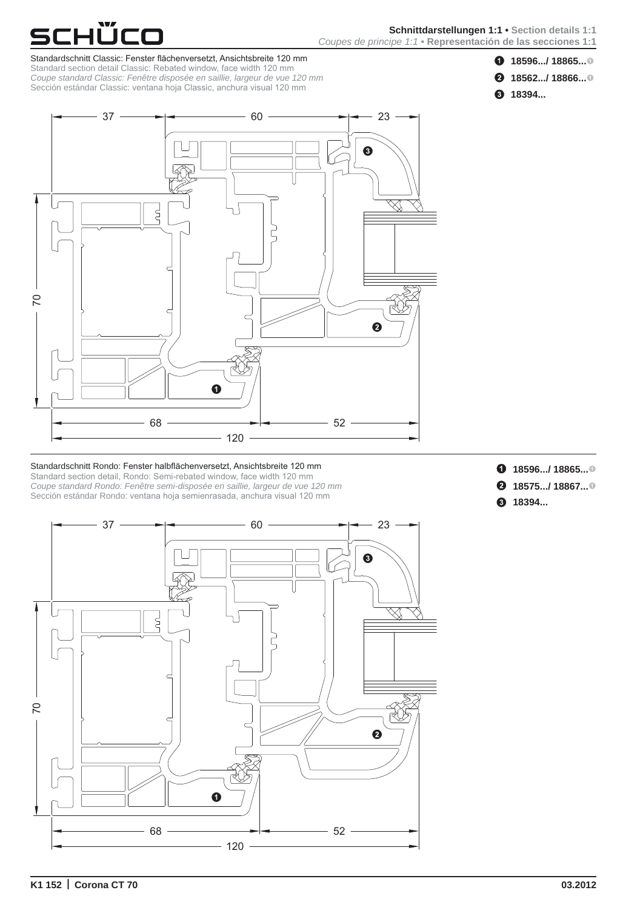70



- **18596.../ 18865...**
- **2** 18562.../ 18866...<sup>0</sup>



Standardschnitt Classic: Fenster flächenversetzt, Ansichtsbreite 120 mm Standard section detail Classic: Rebated window, face width 120 mm *Coupe standard Classic: Fenêtre disposée en saillie, largeur de vue 120 mm* Sección estándar Classic: ventana hoja Classic, anchura visual 120 mm

ιῢco



### Standardschnitt Rondo: Fenster halbflächenversetzt, Ansichtsbreite 120 mm Standard section detail, Rondo: Semi-rebated window, face width 120 mm *Coupe standard Rondo: Fenêtre semi-disposée en saillie, largeur de vue 120 mm* Sección estándar Rondo: ventana hoja semienrasada, anchura visual 120 mm

- **18596.../ 18865...**<sup>0</sup>
- **2** 18575.../ 18867...<sup>0</sup>
- **3** 18394...



 $37 \longrightarrow 60 \longrightarrow 23$ 

€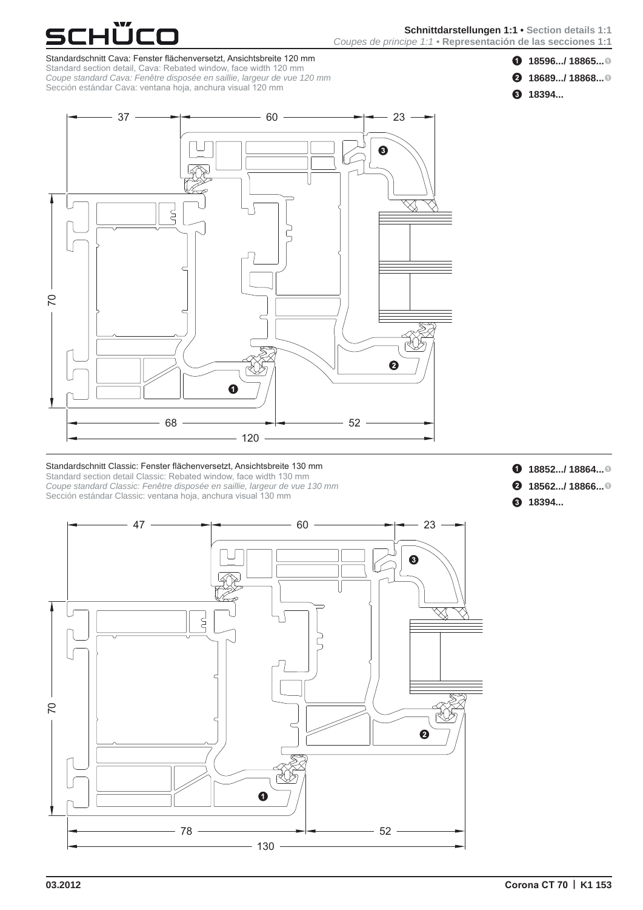# **Schnittdarstellungen 1:1• Section details 1:1** *Coupes de principe 1:1•* **Representación de las secciones 1:1**

# **18596.../ 18865...**

- **2** 18689.../ 18868...<sup>0</sup>
- **18394...**

Standardschnitt Cava: Fenster flächenversetzt, Ansichtsbreite 120 mm Standard section detail, Cava: Rebated window, face width 120 mm *Coupe standard Cava: Fenêtre disposée en saillie, largeur de vue 120 mm* Sección estándar Cava: ventana hoja, anchura visual 120 mm

<u> ŬCC</u>



### Standardschnitt Classic: Fenster flächenversetzt, Ansichtsbreite 130 mm Standard section detail Classic: Rebated window, face width 130 mm

47

*Coupe standard Classic: Fenêtre disposée en saillie, largeur de vue 130 mm* Sección estándar Classic: ventana hoja, anchura visual 130 mm

- **18852.../ 18864...**<sup>0</sup>
- **2** 18562.../ 18866...<sup>0</sup>
- **8** 18394...



 $60 \rightarrow 23$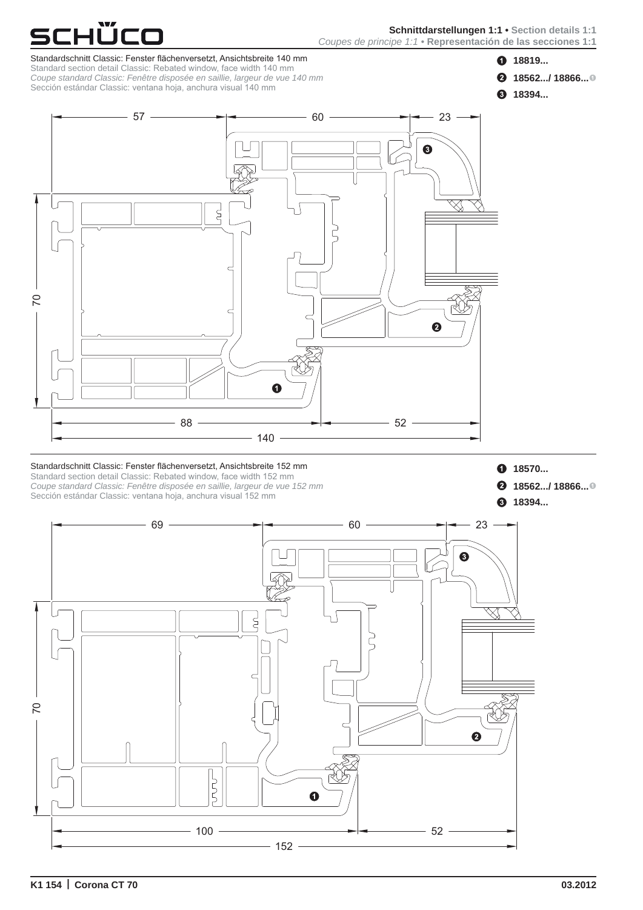